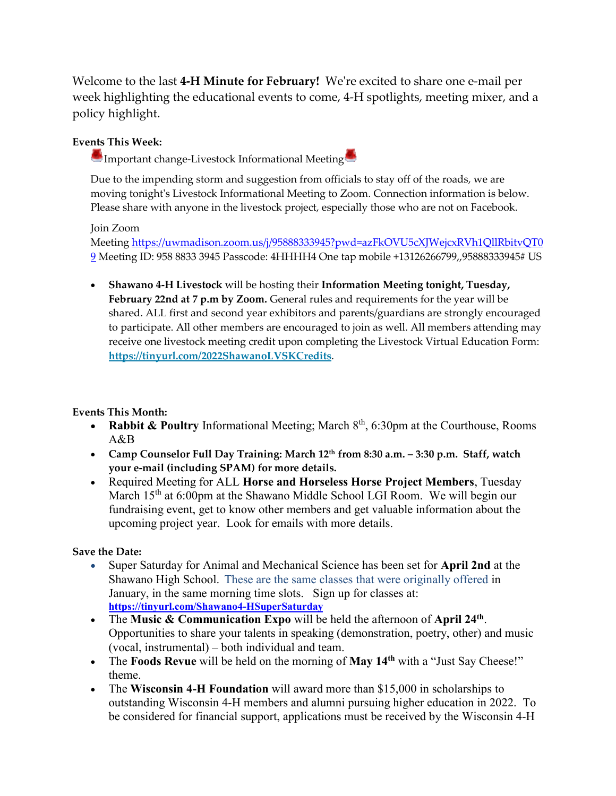Welcome to the last **4-H Minute for February!** We're excited to share one e-mail per week highlighting the educational events to come, 4-H spotlights, meeting mixer, and a policy highlight.

## **Events This Week:**

**Important change-Livestock Informational Meeting** 

Due to the impending storm and suggestion from officials to stay off of the roads, we are moving tonight's Livestock Informational Meeting to Zoom. Connection information is below. Please share with anyone in the livestock project, especially those who are not on Facebook.

## Join Zoom

Meeting [https://uwmadison.zoom.us/j/95888333945?pwd=azFkOVU5cXJWejcxRVh1QllRbitvQT0](https://uwmadison.zoom.us/j/95888333945?pwd=azFkOVU5cXJWejcxRVh1QllRbitvQT09&fbclid=IwAR03gCRUfw4_pAsuNUP3dOT8S7UwEbeerPIb7SBxsSV9CF6efejvb5oXNew) [9](https://uwmadison.zoom.us/j/95888333945?pwd=azFkOVU5cXJWejcxRVh1QllRbitvQT09&fbclid=IwAR03gCRUfw4_pAsuNUP3dOT8S7UwEbeerPIb7SBxsSV9CF6efejvb5oXNew) Meeting ID: 958 8833 3945 Passcode: 4HHHH4 One tap mobile +13126266799,,95888333945# US

 **Shawano 4-H Livestock** will be hosting their **Information Meeting tonight, Tuesday,**  February 22nd at 7 p.m by Zoom. General rules and requirements for the year will be shared. ALL first and second year exhibitors and parents/guardians are strongly encouraged to participate. All other members are encouraged to join as well. All members attending may receive one livestock meeting credit upon completing the Livestock Virtual Education Form: **<https://tinyurl.com/2022ShawanoLVSKCredits>**.

## **Events This Month:**

- **Rabbit & Poultry** Informational Meeting; March  $8<sup>th</sup>$ , 6:30pm at the Courthouse, Rooms A&B
- **Camp Counselor Full Day Training: March 12th from 8:30 a.m. – 3:30 p.m. Staff, watch your e-mail (including SPAM) for more details.**
- Required Meeting for ALL **Horse and Horseless Horse Project Members**, Tuesday March 15<sup>th</sup> at 6:00pm at the Shawano Middle School LGI Room. We will begin our fundraising event, get to know other members and get valuable information about the upcoming project year. Look for emails with more details.

## **Save the Date:**

- Super Saturday for Animal and Mechanical Science has been set for **April 2nd** at the Shawano High School. These are the same classes that were originally offered in January, in the same morning time slots. Sign up for classes at: **<https://tinyurl.com/Shawano4-HSuperSaturday>**
- The **Music & Communication Expo** will be held the afternoon of **April 24th** . Opportunities to share your talents in speaking (demonstration, poetry, other) and music (vocal, instrumental) – both individual and team.
- The **Foods Revue** will be held on the morning of **May 14th** with a "Just Say Cheese!" theme.
- The **Wisconsin 4-H Foundation** will award more than \$15,000 in scholarships to outstanding Wisconsin 4-H members and alumni pursuing higher education in 2022. To be considered for financial support, applications must be received by the Wisconsin 4-H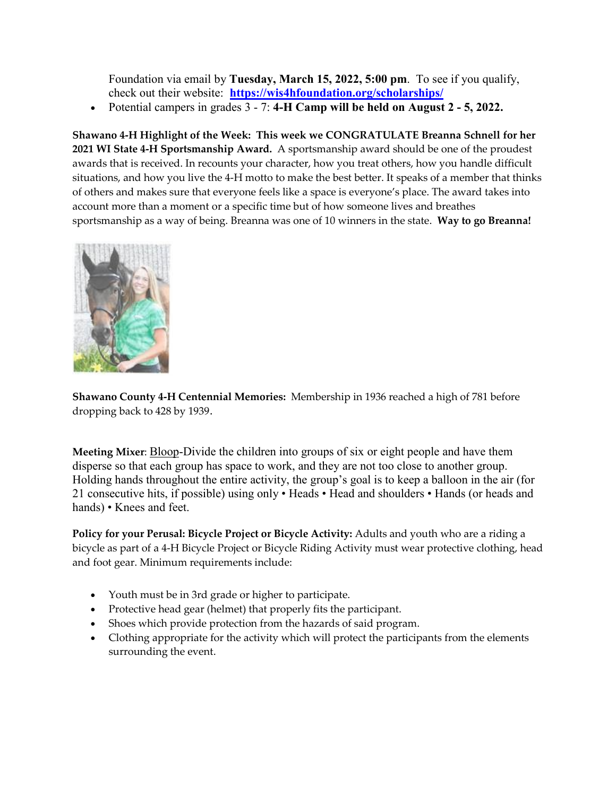Foundation via email by **Tuesday, March 15, 2022, 5:00 pm**. To see if you qualify, check out their website: **<https://wis4hfoundation.org/scholarships/>**

Potential campers in grades 3 - 7: **4-H Camp will be held on August 2 - 5, 2022.**

**Shawano 4-H Highlight of the Week: This week we CONGRATULATE Breanna Schnell for her 2021 WI State 4-H Sportsmanship Award.** A sportsmanship award should be one of the proudest awards that is received. In recounts your character, how you treat others, how you handle difficult situations, and how you live the 4-H motto to make the best better. It speaks of a member that thinks of others and makes sure that everyone feels like a space is everyone's place. The award takes into account more than a moment or a specific time but of how someone lives and breathes sportsmanship as a way of being. Breanna was one of 10 winners in the state. **Way to go Breanna!**



**Shawano County 4-H Centennial Memories:** Membership in 1936 reached a high of 781 before dropping back to 428 by 1939.

**Meeting Mixer**: Bloop-Divide the children into groups of six or eight people and have them disperse so that each group has space to work, and they are not too close to another group. Holding hands throughout the entire activity, the group's goal is to keep a balloon in the air (for 21 consecutive hits, if possible) using only • Heads • Head and shoulders • Hands (or heads and hands) • Knees and feet.

**Policy for your Perusal: Bicycle Project or Bicycle Activity:** Adults and youth who are a riding a bicycle as part of a 4-H Bicycle Project or Bicycle Riding Activity must wear protective clothing, head and foot gear. Minimum requirements include:

- Youth must be in 3rd grade or higher to participate.
- Protective head gear (helmet) that properly fits the participant.
- Shoes which provide protection from the hazards of said program.
- Clothing appropriate for the activity which will protect the participants from the elements surrounding the event.